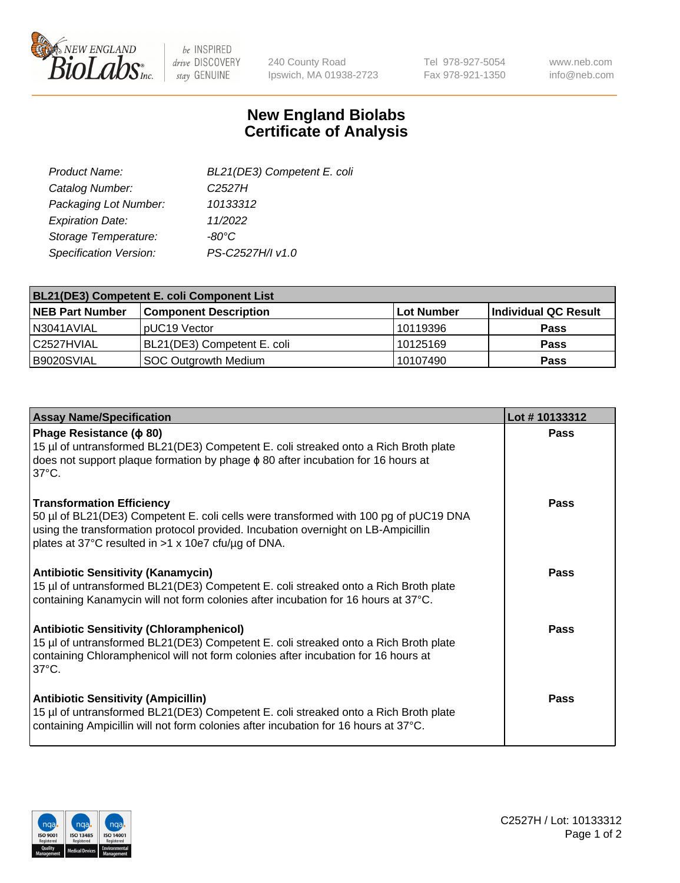

 $be$  INSPIRED drive DISCOVERY stay GENUINE

240 County Road Ipswich, MA 01938-2723 Tel 978-927-5054 Fax 978-921-1350 www.neb.com info@neb.com

## **New England Biolabs Certificate of Analysis**

| BL21(DE3) Competent E. coli |
|-----------------------------|
| C <sub>2527</sub> H         |
| 10133312                    |
| 11/2022                     |
| -80°C                       |
| PS-C2527H/I v1.0            |
|                             |

| BL21(DE3) Competent E. coli Component List |                              |             |                      |  |
|--------------------------------------------|------------------------------|-------------|----------------------|--|
| <b>NEB Part Number</b>                     | <b>Component Description</b> | ⊺Lot Number | Individual QC Result |  |
| N3041AVIAL                                 | pUC19 Vector                 | 10119396    | <b>Pass</b>          |  |
| l C2527HVIAL                               | BL21(DE3) Competent E. coli  | l 10125169  | <b>Pass</b>          |  |
| B9020SVIAL                                 | SOC Outgrowth Medium         | 10107490    | <b>Pass</b>          |  |

| <b>Assay Name/Specification</b>                                                                                                                                                                                                                                      | Lot #10133312 |
|----------------------------------------------------------------------------------------------------------------------------------------------------------------------------------------------------------------------------------------------------------------------|---------------|
| Phage Resistance ( $\phi$ 80)<br>15 µl of untransformed BL21(DE3) Competent E. coli streaked onto a Rich Broth plate<br>does not support plaque formation by phage $\phi$ 80 after incubation for 16 hours at<br>$37^{\circ}$ C.                                     | <b>Pass</b>   |
| <b>Transformation Efficiency</b><br>50 µl of BL21(DE3) Competent E. coli cells were transformed with 100 pg of pUC19 DNA<br>using the transformation protocol provided. Incubation overnight on LB-Ampicillin<br>plates at 37°C resulted in >1 x 10e7 cfu/µg of DNA. | Pass          |
| <b>Antibiotic Sensitivity (Kanamycin)</b><br>15 µl of untransformed BL21(DE3) Competent E. coli streaked onto a Rich Broth plate<br>containing Kanamycin will not form colonies after incubation for 16 hours at 37°C.                                               | Pass          |
| <b>Antibiotic Sensitivity (Chloramphenicol)</b><br>15 µl of untransformed BL21(DE3) Competent E. coli streaked onto a Rich Broth plate<br>containing Chloramphenicol will not form colonies after incubation for 16 hours at<br>$37^{\circ}$ C.                      | Pass          |
| <b>Antibiotic Sensitivity (Ampicillin)</b><br>15 µl of untransformed BL21(DE3) Competent E. coli streaked onto a Rich Broth plate<br>containing Ampicillin will not form colonies after incubation for 16 hours at 37°C.                                             | Pass          |